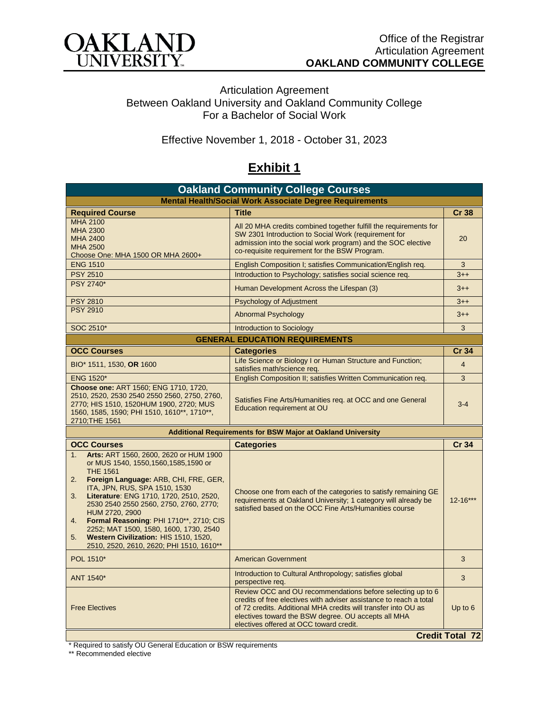

Articulation Agreement Between Oakland University and Oakland Community College For a Bachelor of Social Work

Effective November 1, 2018 - October 31, 2023

## **Exhibit 1**

| <b>Oakland Community College Courses</b>                                                                                                                                                                                                                                                                                                                                                                                                                                                     |                                                                                                                                                                                                                                                                                                      |                        |  |  |
|----------------------------------------------------------------------------------------------------------------------------------------------------------------------------------------------------------------------------------------------------------------------------------------------------------------------------------------------------------------------------------------------------------------------------------------------------------------------------------------------|------------------------------------------------------------------------------------------------------------------------------------------------------------------------------------------------------------------------------------------------------------------------------------------------------|------------------------|--|--|
| <b>Mental Health/Social Work Associate Degree Requirements</b>                                                                                                                                                                                                                                                                                                                                                                                                                               |                                                                                                                                                                                                                                                                                                      |                        |  |  |
| <b>Required Course</b>                                                                                                                                                                                                                                                                                                                                                                                                                                                                       | Title                                                                                                                                                                                                                                                                                                | <b>Cr 38</b>           |  |  |
| <b>MHA 2100</b><br><b>MHA 2300</b><br><b>MHA 2400</b><br><b>MHA 2500</b><br>Choose One: MHA 1500 OR MHA 2600+                                                                                                                                                                                                                                                                                                                                                                                | All 20 MHA credits combined together fulfill the requirements for<br>SW 2301 Introduction to Social Work (requirement for<br>admission into the social work program) and the SOC elective<br>co-requisite requirement for the BSW Program.                                                           |                        |  |  |
| <b>ENG 1510</b>                                                                                                                                                                                                                                                                                                                                                                                                                                                                              | English Composition I; satisfies Communication/English req.                                                                                                                                                                                                                                          | 3                      |  |  |
| <b>PSY 2510</b>                                                                                                                                                                                                                                                                                                                                                                                                                                                                              | Introduction to Psychology; satisfies social science req.                                                                                                                                                                                                                                            | $3 + +$                |  |  |
| <b>PSY 2740*</b>                                                                                                                                                                                                                                                                                                                                                                                                                                                                             | Human Development Across the Lifespan (3)                                                                                                                                                                                                                                                            |                        |  |  |
| <b>PSY 2810</b>                                                                                                                                                                                                                                                                                                                                                                                                                                                                              | Psychology of Adjustment                                                                                                                                                                                                                                                                             | $3 + +$                |  |  |
| <b>PSY 2910</b>                                                                                                                                                                                                                                                                                                                                                                                                                                                                              | <b>Abnormal Psychology</b>                                                                                                                                                                                                                                                                           | $3 + +$                |  |  |
| SOC 2510*                                                                                                                                                                                                                                                                                                                                                                                                                                                                                    | <b>Introduction to Sociology</b>                                                                                                                                                                                                                                                                     | 3                      |  |  |
| <b>GENERAL EDUCATION REQUIREMENTS</b>                                                                                                                                                                                                                                                                                                                                                                                                                                                        |                                                                                                                                                                                                                                                                                                      |                        |  |  |
| <b>OCC Courses</b>                                                                                                                                                                                                                                                                                                                                                                                                                                                                           | <b>Categories</b>                                                                                                                                                                                                                                                                                    | <b>Cr 34</b>           |  |  |
| BIO* 1511, 1530, OR 1600                                                                                                                                                                                                                                                                                                                                                                                                                                                                     | Life Science or Biology I or Human Structure and Function;<br>satisfies math/science req.                                                                                                                                                                                                            | $\overline{4}$         |  |  |
| <b>ENG 1520*</b>                                                                                                                                                                                                                                                                                                                                                                                                                                                                             | English Composition II; satisfies Written Communication req.                                                                                                                                                                                                                                         | 3                      |  |  |
| Choose one: ART 1560; ENG 1710, 1720,<br>2510, 2520, 2530 2540 2550 2560, 2750, 2760,<br>2770; HIS 1510, 1520HUM 1900, 2720; MUS<br>1560, 1585, 1590; PHI 1510, 1610**, 1710**,<br>2710; THE 1561                                                                                                                                                                                                                                                                                            | Satisfies Fine Arts/Humanities req. at OCC and one General<br>Education requirement at OU                                                                                                                                                                                                            | $3 - 4$                |  |  |
| <b>Additional Requirements for BSW Major at Oakland University</b>                                                                                                                                                                                                                                                                                                                                                                                                                           |                                                                                                                                                                                                                                                                                                      |                        |  |  |
| <b>OCC Courses</b>                                                                                                                                                                                                                                                                                                                                                                                                                                                                           | <b>Categories</b>                                                                                                                                                                                                                                                                                    | <b>Cr 34</b>           |  |  |
| Arts: ART 1560, 2600, 2620 or HUM 1900<br>1.<br>or MUS 1540, 1550, 1560, 1585, 1590 or<br><b>THE 1561</b><br>Foreign Language: ARB, CHI, FRE, GER,<br>2.<br>ITA, JPN, RUS, SPA 1510, 1530<br>Literature: ENG 1710, 1720, 2510, 2520,<br>3.<br>2530 2540 2550 2560, 2750, 2760, 2770;<br>HUM 2720, 2900<br>Formal Reasoning: PHI 1710**, 2710; CIS<br>4.<br>2252; MAT 1500, 1580, 1600, 1730, 2540<br>Western Civilization: HIS 1510, 1520,<br>5.<br>2510, 2520, 2610, 2620; PHI 1510, 1610** | Choose one from each of the categories to satisfy remaining GE<br>requirements at Oakland University; 1 category will already be<br>satisfied based on the OCC Fine Arts/Humanities course                                                                                                           | 12-16***               |  |  |
| POL 1510*                                                                                                                                                                                                                                                                                                                                                                                                                                                                                    | <b>American Government</b>                                                                                                                                                                                                                                                                           | 3                      |  |  |
| ANT 1540*                                                                                                                                                                                                                                                                                                                                                                                                                                                                                    | Introduction to Cultural Anthropology; satisfies global<br>perspective req.                                                                                                                                                                                                                          | 3                      |  |  |
| <b>Free Electives</b>                                                                                                                                                                                                                                                                                                                                                                                                                                                                        | Review OCC and OU recommendations before selecting up to 6<br>credits of free electives with adviser assistance to reach a total<br>of 72 credits. Additional MHA credits will transfer into OU as<br>electives toward the BSW degree. OU accepts all MHA<br>electives offered at OCC toward credit. | Up to $6$              |  |  |
|                                                                                                                                                                                                                                                                                                                                                                                                                                                                                              |                                                                                                                                                                                                                                                                                                      | <b>Credit Total 72</b> |  |  |

\* Required to satisfy OU General Education or BSW requirements

\*\* Recommended elective